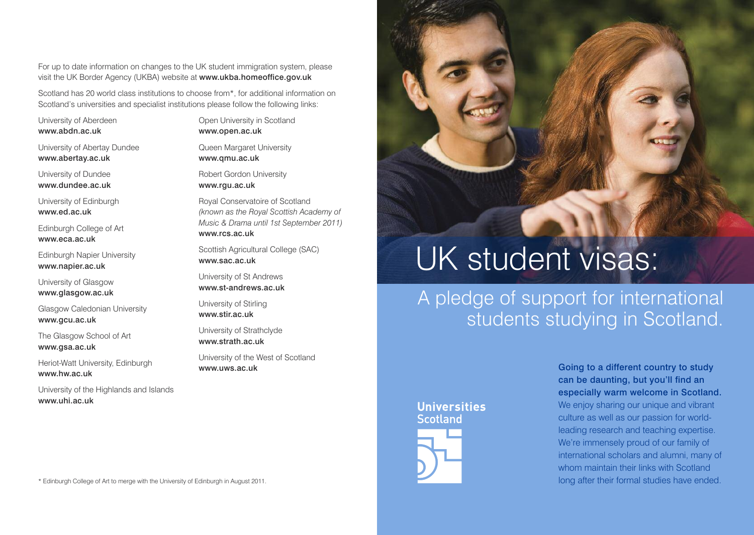For up to date information on changes to the UK student immigration system, please visit the UK Border Agency (UKBA) website at www.ukba.homeoffice.gov.uk

Scotland has 20 world class institutions to choose from\*, for additional information on Scotland's universities and specialist institutions please follow the following links:

University of Aberdeen www.abdn.ac.uk

University of Abertay Dundee www.abertay.ac.uk

University of Dundee www.dundee.ac.uk

University of Edinburgh www.ed.ac.uk

Edinburgh College of Art www.eca.ac.uk

Edinburgh Napier University www.napier.ac.uk

University of Glasgow www.glasgow.ac.uk

Glasgow Caledonian University www.gcu.ac.uk

The Glasgow School of Art www.gsa.ac.uk

Heriot-Watt University, Edinburgh www.hw.ac.uk

University of the Highlands and Islands www.uhi.ac.uk

Open University in Scotland www.open.ac.uk

Queen Margaret University www.qmu.ac.uk

Robert Gordon University www.rgu.ac.uk

Royal Conservatoire of Scotland *(known as the Royal Scottish Academy of Music & Drama until 1st September 2011)* www.rcs.ac.uk

Scottish Agricultural College (SAC) www.sac.ac.uk

University of St Andrews www.st-andrews.ac.uk

University of Stirling www.stir.ac.uk

University of Strathclyde www.strath.ac.uk

University of the West of Scotland www.uws.ac.uk

## UK student visas:

## A pledge of support for international students studying in Scotland.

## **Universities Scotland**

Going to a different country to study can be daunting, but you'll find an especially warm welcome in Scotland. We enjoy sharing our unique and vibrant culture as well as our passion for worldleading research and teaching expertise. We're immensely proud of our family of international scholars and alumni, many of whom maintain their links with Scotland long after their formal studies have ended.

\* Edinburgh College of Art to merge with the University of Edinburgh in August 2011.